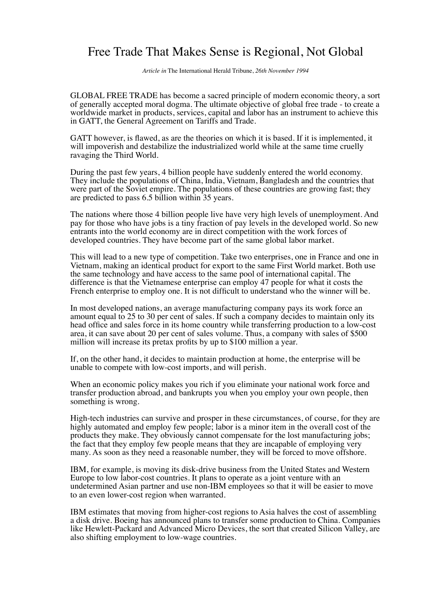## Free Trade That Makes Sense is Regional, Not Global

*Article in* The International Herald Tribune, *26th November 1994*

GLOBAL FREE TRADE has become a sacred principle of modern economic theory, a sort of generally accepted moral dogma. The ultimate objective of global free trade - to create a worldwide market in products, services, capital and labor has an instrument to achieve this in GATT, the General Agreement on Tariffs and Trade.

GATT however, is flawed, as are the theories on which it is based. If it is implemented, it will impoverish and destabilize the industrialized world while at the same time cruelly ravaging the Third World.

During the past few years, 4 billion people have suddenly entered the world economy. They include the populations of China, India, Vietnam, Bangladesh and the countries that were part of the Soviet empire. The populations of these countries are growing fast; they are predicted to pass 6.5 billion within 35 years.

The nations where those 4 billion people live have very high levels of unemployment. And pay for those who have jobs is a tiny fraction of pay levels in the developed world. So new entrants into the world economy are in direct competition with the work forces of developed countries. They have become part of the same global labor market.

This will lead to a new type of competition. Take two enterprises, one in France and one in Vietnam, making an identical product for export to the same First World market. Both use the same technology and have access to the same pool of international capital. The difference is that the Vietnamese enterprise can employ 47 people for what it costs the French enterprise to employ one. It is not difficult to understand who the winner will be.

In most developed nations, an average manufacturing company pays its work force an amount equal to 25 to 30 per cent of sales. If such a company decides to maintain only its head office and sales force in its home country while transferring production to a low-cost area, it can save about 20 per cent of sales volume. Thus, a company with sales of \$500 million will increase its pretax profits by up to \$100 million a year.

If, on the other hand, it decides to maintain production at home, the enterprise will be unable to compete with low-cost imports, and will perish.

When an economic policy makes you rich if you eliminate your national work force and transfer production abroad, and bankrupts you when you employ your own people, then something is wrong.

High-tech industries can survive and prosper in these circumstances, of course, for they are highly automated and employ few people; labor is a minor item in the overall cost of the products they make. They obviously cannot compensate for the lost manufacturing jobs; the fact that they employ few people means that they are incapable of employing very many. As soon as they need a reasonable number, they will be forced to move offshore.

IBM, for example, is moving its disk-drive business from the United States and Western Europe to low labor-cost countries. It plans to operate as a joint venture with an undetermined Asian partner and use non-IBM employees so that it will be easier to move to an even lower-cost region when warranted.

IBM estimates that moving from higher-cost regions to Asia halves the cost of assembling a disk drive. Boeing has announced plans to transfer some production to China. Companies like Hewlett-Packard and Advanced Micro Devices, the sort that created Silicon Valley, are also shifting employment to low-wage countries.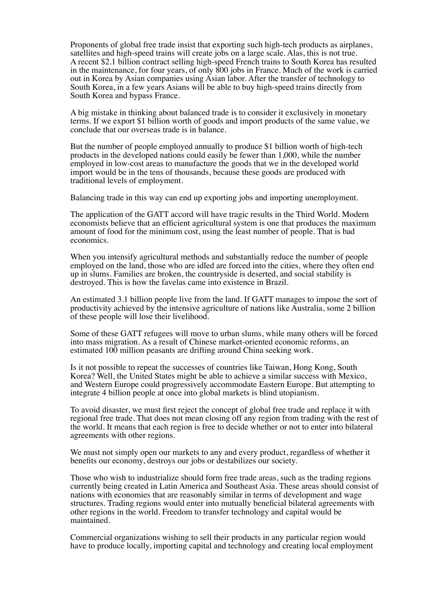Proponents of global free trade insist that exporting such high-tech products as airplanes, satellites and high-speed trains will create jobs on a large scale. Alas, this is not true. A recent \$2.1 billion contract selling high-speed French trains to South Korea has resulted in the maintenance, for four years, of only 800 jobs in France. Much of the work is carried out in Korea by Asian companies using Asian labor. After the transfer of technology to South Korea, in a few years Asians will be able to buy high-speed trains directly from South Korea and bypass France.

A big mistake in thinking about balanced trade is to consider it exclusively in monetary terms. If we export \$1 billion worth of goods and import products of the same value, we conclude that our overseas trade is in balance.

But the number of people employed annually to produce \$1 billion worth of high-tech products in the developed nations could easily be fewer than 1,000, while the number employed in low-cost areas to manufacture the goods that we in the developed world import would be in the tens of thousands, because these goods are produced with traditional levels of employment.

Balancing trade in this way can end up exporting jobs and importing unemployment.

The application of the GATT accord will have tragic results in the Third World. Modern economists believe that an efficient agricultural system is one that produces the maximum amount of food for the minimum cost, using the least number of people. That is bad economics.

When you intensify agricultural methods and substantially reduce the number of people employed on the land, those who are idled are forced into the cities, where they often end up in slums. Families are broken, the countryside is deserted, and social stability is destroyed. This is how the favelas came into existence in Brazil.

An estimated 3.1 billion people live from the land. If GATT manages to impose the sort of productivity achieved by the intensive agriculture of nations like Australia, some 2 billion of these people will lose their livelihood.

Some of these GATT refugees will move to urban slums, while many others will be forced into mass migration. As a result of Chinese market-oriented economic reforms, an estimated 100 million peasants are drifting around China seeking work.

Is it not possible to repeat the successes of countries like Taiwan, Hong Kong, South Korea? Well, the United States might be able to achieve a similar success with Mexico, and Western Europe could progressively accommodate Eastern Europe. But attempting to integrate 4 billion people at once into global markets is blind utopianism.

To avoid disaster, we must first reject the concept of global free trade and replace it with regional free trade. That does not mean closing off any region from trading with the rest of the world. It means that each region is free to decide whether or not to enter into bilateral agreements with other regions.

We must not simply open our markets to any and every product, regardless of whether it benefits our economy, destroys our jobs or destabilizes our society.

Those who wish to industrialize should form free trade areas, such as the trading regions currently being created in Latin America and Southeast Asia. These areas should consist of nations with economies that are reasonably similar in terms of development and wage structures. Trading regions would enter into mutually beneficial bilateral agreements with other regions in the world. Freedom to transfer technology and capital would be maintained.

Commercial organizations wishing to sell their products in any particular region would have to produce locally, importing capital and technology and creating local employment